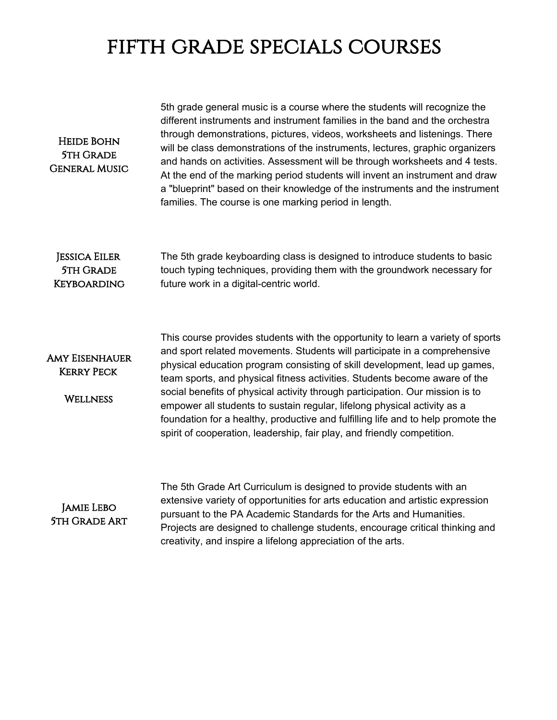## fifth grade specials courses

| <b>HEIDE BOHN</b><br><b>5TH GRADE</b><br><b>GENERAL MUSIC</b>  | 5th grade general music is a course where the students will recognize the<br>different instruments and instrument families in the band and the orchestra<br>through demonstrations, pictures, videos, worksheets and listenings. There<br>will be class demonstrations of the instruments, lectures, graphic organizers<br>and hands on activities. Assessment will be through worksheets and 4 tests.<br>At the end of the marking period students will invent an instrument and draw<br>a "blueprint" based on their knowledge of the instruments and the instrument<br>families. The course is one marking period in length.                      |
|----------------------------------------------------------------|------------------------------------------------------------------------------------------------------------------------------------------------------------------------------------------------------------------------------------------------------------------------------------------------------------------------------------------------------------------------------------------------------------------------------------------------------------------------------------------------------------------------------------------------------------------------------------------------------------------------------------------------------|
| <b>JESSICA EILER</b><br><b>5TH GRADE</b><br><b>KEYBOARDING</b> | The 5th grade keyboarding class is designed to introduce students to basic<br>touch typing techniques, providing them with the groundwork necessary for<br>future work in a digital-centric world.                                                                                                                                                                                                                                                                                                                                                                                                                                                   |
| <b>AMY EISENHAUER</b><br><b>KERRY PECK</b><br><b>WELLNESS</b>  | This course provides students with the opportunity to learn a variety of sports<br>and sport related movements. Students will participate in a comprehensive<br>physical education program consisting of skill development, lead up games,<br>team sports, and physical fitness activities. Students become aware of the<br>social benefits of physical activity through participation. Our mission is to<br>empower all students to sustain regular, lifelong physical activity as a<br>foundation for a healthy, productive and fulfilling life and to help promote the<br>spirit of cooperation, leadership, fair play, and friendly competition. |
| <b>JAMIE LEBO</b><br><b>5TH GRADE ART</b>                      | The 5th Grade Art Curriculum is designed to provide students with an<br>extensive variety of opportunities for arts education and artistic expression<br>pursuant to the PA Academic Standards for the Arts and Humanities.<br>Projects are designed to challenge students, encourage critical thinking and<br>creativity, and inspire a lifelong appreciation of the arts.                                                                                                                                                                                                                                                                          |